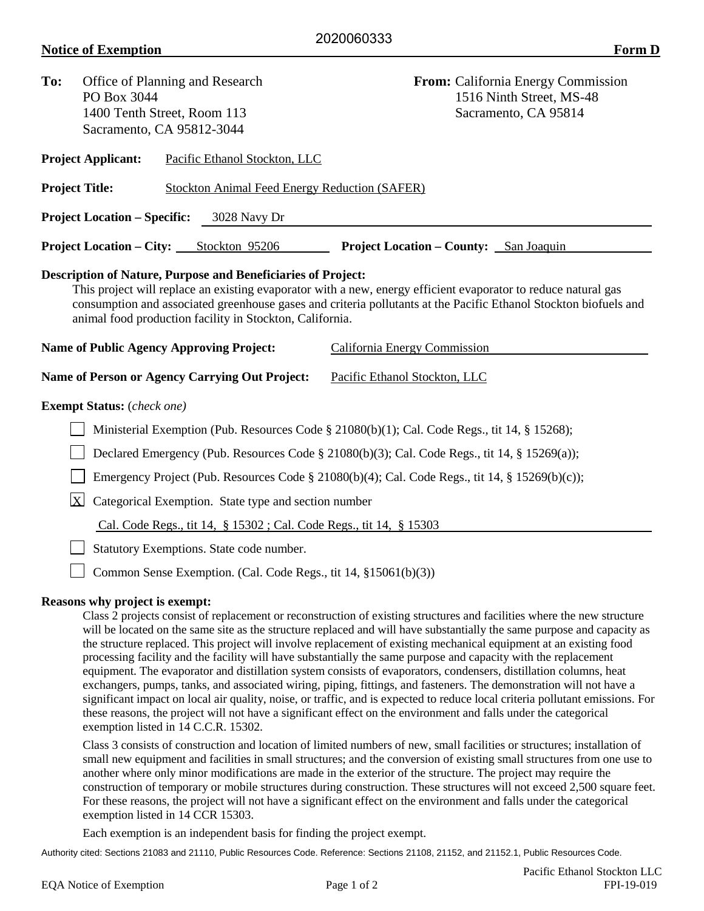| To:                                                        | Office of Planning and Research<br>PO Box 3044<br>1400 Tenth Street, Room 113<br>Sacramento, CA 95812-3044 |  |                                                                                                                                 | From: California Energy Commission<br>1516 Ninth Street, MS-48<br>Sacramento, CA 95814                                                                                                                                                                                                                                                                                   |  |
|------------------------------------------------------------|------------------------------------------------------------------------------------------------------------|--|---------------------------------------------------------------------------------------------------------------------------------|--------------------------------------------------------------------------------------------------------------------------------------------------------------------------------------------------------------------------------------------------------------------------------------------------------------------------------------------------------------------------|--|
| <b>Project Applicant:</b><br>Pacific Ethanol Stockton, LLC |                                                                                                            |  |                                                                                                                                 |                                                                                                                                                                                                                                                                                                                                                                          |  |
|                                                            | <b>Project Title:</b>                                                                                      |  | Stockton Animal Feed Energy Reduction (SAFER)                                                                                   |                                                                                                                                                                                                                                                                                                                                                                          |  |
|                                                            | <b>Project Location – Specific:</b>                                                                        |  | 3028 Navy Dr                                                                                                                    |                                                                                                                                                                                                                                                                                                                                                                          |  |
|                                                            | <b>Project Location – City:</b> Stockton 95206                                                             |  |                                                                                                                                 | <b>Project Location – County:</b> San Joaquin                                                                                                                                                                                                                                                                                                                            |  |
|                                                            |                                                                                                            |  | <b>Description of Nature, Purpose and Beneficiaries of Project:</b><br>animal food production facility in Stockton, California. | This project will replace an existing evaporator with a new, energy efficient evaporator to reduce natural gas<br>consumption and associated greenhouse gases and criteria pollutants at the Pacific Ethanol Stockton biofuels and                                                                                                                                       |  |
| <b>Name of Public Agency Approving Project:</b>            |                                                                                                            |  |                                                                                                                                 | California Energy Commission                                                                                                                                                                                                                                                                                                                                             |  |
|                                                            |                                                                                                            |  | <b>Name of Person or Agency Carrying Out Project:</b>                                                                           | Pacific Ethanol Stockton, LLC                                                                                                                                                                                                                                                                                                                                            |  |
|                                                            | <b>Exempt Status:</b> (check one)                                                                          |  |                                                                                                                                 |                                                                                                                                                                                                                                                                                                                                                                          |  |
|                                                            |                                                                                                            |  |                                                                                                                                 | Ministerial Exemption (Pub. Resources Code § 21080(b)(1); Cal. Code Regs., tit 14, § 15268);                                                                                                                                                                                                                                                                             |  |
|                                                            |                                                                                                            |  |                                                                                                                                 | Declared Emergency (Pub. Resources Code § 21080(b)(3); Cal. Code Regs., tit 14, § 15269(a));                                                                                                                                                                                                                                                                             |  |
|                                                            |                                                                                                            |  |                                                                                                                                 | Emergency Project (Pub. Resources Code § 21080(b)(4); Cal. Code Regs., tit 14, § 15269(b)(c));                                                                                                                                                                                                                                                                           |  |
|                                                            | $\mathbf{X}$                                                                                               |  | Categorical Exemption. State type and section number                                                                            |                                                                                                                                                                                                                                                                                                                                                                          |  |
|                                                            |                                                                                                            |  | Cal. Code Regs., tit 14, § 15302 ; Cal. Code Regs., tit 14, § 15303                                                             |                                                                                                                                                                                                                                                                                                                                                                          |  |
|                                                            |                                                                                                            |  | Statutory Exemptions. State code number.                                                                                        |                                                                                                                                                                                                                                                                                                                                                                          |  |
|                                                            |                                                                                                            |  | Common Sense Exemption. (Cal. Code Regs., tit 14, §15061(b)(3))                                                                 |                                                                                                                                                                                                                                                                                                                                                                          |  |
|                                                            | <b>Reasons why project is exempt:</b>                                                                      |  |                                                                                                                                 | Class 2 projects consist of replacement or reconstruction of existing structures and facilities where the new structure<br>will be located on the same site as the structure replaced and will have substantially the same purpose and capacity as<br>the structure replaced. This project will involve replacement of evisting mechanical equipment at an evisting food |  |

the structure replaced. This project will involve replacement of existing mechanical equipment at an existing food processing facility and the facility will have substantially the same purpose and capacity with the replacement equipment. The evaporator and distillation system consists of evaporators, condensers, distillation columns, heat exchangers, pumps, tanks, and associated wiring, piping, fittings, and fasteners. The demonstration will not have a significant impact on local air quality, noise, or traffic, and is expected to reduce local criteria pollutant emissions. For these reasons, the project will not have a significant effect on the environment and falls under the categorical exemption listed in 14 C.C.R. 15302.

Class 3 consists of construction and location of limited numbers of new, small facilities or structures; installation of small new equipment and facilities in small structures; and the conversion of existing small structures from one use to another where only minor modifications are made in the exterior of the structure. The project may require the construction of temporary or mobile structures during construction. These structures will not exceed 2,500 square feet. For these reasons, the project will not have a significant effect on the environment and falls under the categorical exemption listed in 14 CCR 15303.

Each exemption is an independent basis for finding the project exempt.

Authority cited: Sections 21083 and 21110, Public Resources Code. Reference: Sections 21108, 21152, and 21152.1, Public Resources Code.